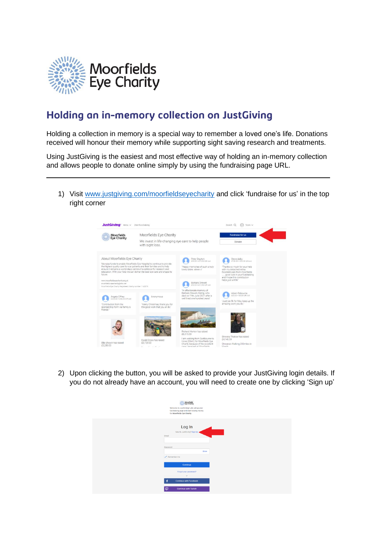

## Holding an in-memory collection on JustGiving

Holding a collection in memory is a special way to remember a loved one's life. Donations received will honour their memory while supporting sight saving research and treatments.

Using JustGiving is the easiest and most effective way of holding an in-memory collection and allows people to donate online simply by using the fundraising page URL.

1) Visit [www.justgiving.com/moorfieldseyecharity](http://www.justgiving.com/moorfieldseyecharity) and click 'fundraise for us' in the top right corner



2) Upon clicking the button, you will be asked to provide your JustGiving login details. If you do not already have an account, you will need to create one by clicking 'Sign up'

| Moorfields<br>Eye Charity<br>Welcome to JustGiving! Lets set up your<br>fundraising page and start raising money<br>for Moorfields Eye Charity. |
|-------------------------------------------------------------------------------------------------------------------------------------------------|
| Log In<br>New to JustGiving? Sign Up<br>Email<br>Password                                                                                       |
| Show                                                                                                                                            |
| Remember me                                                                                                                                     |
| Continue                                                                                                                                        |
| Forgot your password?                                                                                                                           |
| or<br>Ŧ<br><b>Continue with Facebook</b>                                                                                                        |
|                                                                                                                                                 |
| $\mathbb{C}$<br><b>Continue with Twitch</b>                                                                                                     |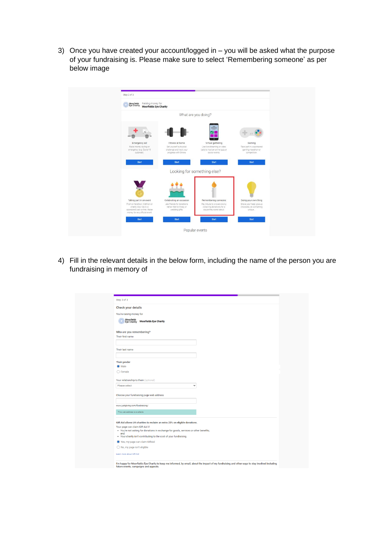3) Once you have created your account/logged in – you will be asked what the purpose of your fundraising is. Please make sure to select 'Remembering someone' as per below image



4) Fill in the relevant details in the below form, including the name of the person you are fundraising in memory of

| Step 3 of 3                                                                                                              |  |
|--------------------------------------------------------------------------------------------------------------------------|--|
| <b>Check your details</b>                                                                                                |  |
| You're raising money for                                                                                                 |  |
| Moorfields<br>Eye Charity<br><b>Moorfields Eye Charity</b>                                                               |  |
|                                                                                                                          |  |
| Who are you remembering?                                                                                                 |  |
| Their first name                                                                                                         |  |
|                                                                                                                          |  |
| Their last name                                                                                                          |  |
|                                                                                                                          |  |
|                                                                                                                          |  |
| <b>Their gender</b>                                                                                                      |  |
| C Male                                                                                                                   |  |
| $\bigcap$ Female                                                                                                         |  |
| Your relationship to them (optional)                                                                                     |  |
| Please select<br>$\checkmark$                                                                                            |  |
|                                                                                                                          |  |
| Choose your fundraising page web address                                                                                 |  |
|                                                                                                                          |  |
| www.justgiving.com/fundraising/                                                                                          |  |
| This web address is available                                                                                            |  |
|                                                                                                                          |  |
| Gift Aid allows UK charities to reclaim an extra 25% on eligible donations.                                              |  |
| Your page can claim Gift Aid if:<br>. You're not asking for donations in exchange for goods, services or other benefits; |  |
| and                                                                                                                      |  |
| . Your charity isn't contributing to the cost of your fundraising.                                                       |  |
| Yes, my page can claim GiftAid                                                                                           |  |
| ◯ No, my page isn't eligible                                                                                             |  |
| Learn more about Gift Aid                                                                                                |  |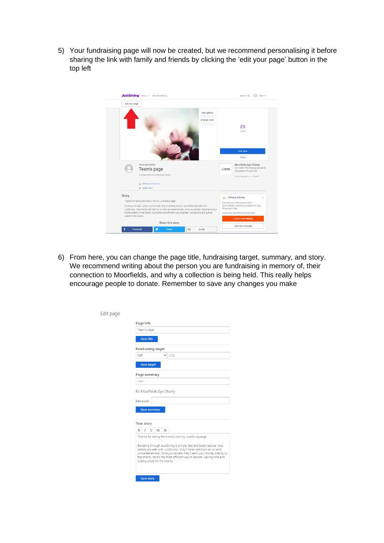5) Your fundraising page will now be created, but we recommend personalising it before sharing the link with family and friends by clicking the 'edit your page' button in the top left



6) From here, you can change the page title, fundraising target, summary, and story. We recommend writing about the person you are fundraising in memory of, their connection to Moorfields, and why a collection is being held. This really helps encourage people to donate. Remember to save any changes you make

| Edit page |                                                                                                                                                                                                          |  |  |  |
|-----------|----------------------------------------------------------------------------------------------------------------------------------------------------------------------------------------------------------|--|--|--|
|           | Page title                                                                                                                                                                                               |  |  |  |
|           | Team's page                                                                                                                                                                                              |  |  |  |
|           | <b>Save title</b>                                                                                                                                                                                        |  |  |  |
|           | <b>Fundraising target</b>                                                                                                                                                                                |  |  |  |
|           | GBP<br>0.00                                                                                                                                                                                              |  |  |  |
|           | <b>Save target</b>                                                                                                                                                                                       |  |  |  |
|           | Page summary                                                                                                                                                                                             |  |  |  |
|           | I am                                                                                                                                                                                                     |  |  |  |
|           | for Moorfields Eye Charity                                                                                                                                                                               |  |  |  |
|           | because                                                                                                                                                                                                  |  |  |  |
|           | <b>Save summary</b>                                                                                                                                                                                      |  |  |  |
|           | Your story                                                                                                                                                                                               |  |  |  |
|           | U<br>B<br>$\equiv$<br>這                                                                                                                                                                                  |  |  |  |
|           | Thanks for taking the time to visit my JustGiving page.<br>Donating through JustGiving is simple, fast and totally secure. Your<br>details are safe with JustGiving - they'll never sell them on or send |  |  |  |
|           | unwanted emails. Once you donate, they'll send your money directly to<br>the charity. So it's the most efficient way to donate - saving time and<br>cutting costs for the charity.                       |  |  |  |
|           | <b>Save story</b>                                                                                                                                                                                        |  |  |  |